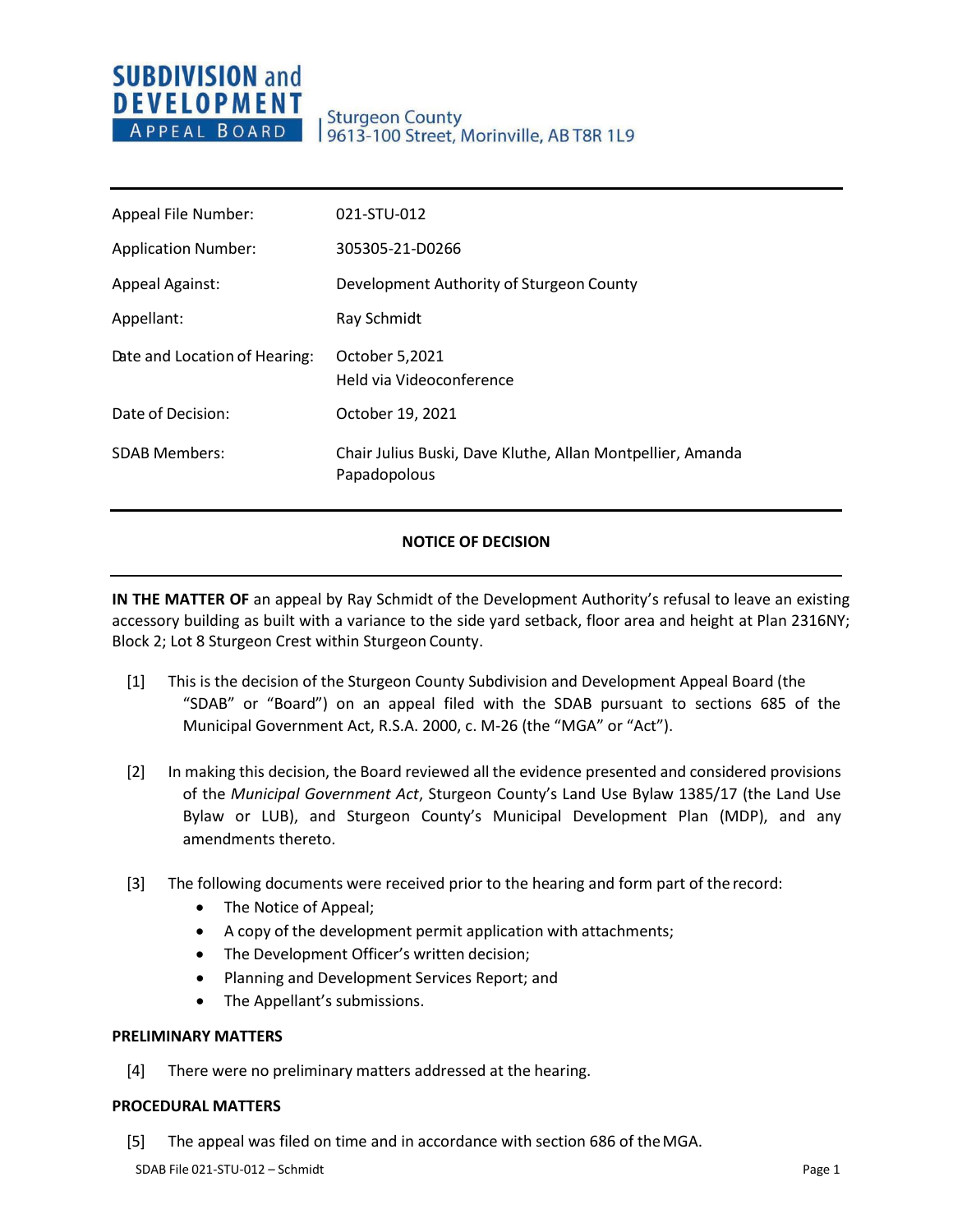# **SUBDIVISION and DEVELOPMENT** APPEAL BOARD

| Appeal File Number:           | 021-STU-012                                                                |
|-------------------------------|----------------------------------------------------------------------------|
| <b>Application Number:</b>    | 305305-21-D0266                                                            |
| <b>Appeal Against:</b>        | Development Authority of Sturgeon County                                   |
| Appellant:                    | Ray Schmidt                                                                |
| Date and Location of Hearing: | October 5,2021<br>Held via Videoconference                                 |
| Date of Decision:             | October 19, 2021                                                           |
| <b>SDAB Members:</b>          | Chair Julius Buski, Dave Kluthe, Allan Montpellier, Amanda<br>Papadopolous |

## **NOTICE OF DECISION**

**IN THE MATTER OF** an appeal by Ray Schmidt of the Development Authority's refusal to leave an existing accessory building as built with a variance to the side yard setback, floor area and height at Plan 2316NY; Block 2; Lot 8 Sturgeon Crest within Sturgeon County.

- [1] This is the decision of the Sturgeon County Subdivision and Development Appeal Board (the "SDAB" or "Board") on an appeal filed with the SDAB pursuant to sections 685 of the Municipal Government Act, R.S.A. 2000, c. M-26 (the "MGA" or "Act").
- [2] In making this decision, the Board reviewed all the evidence presented and considered provisions of the *Municipal Government Act*, Sturgeon County's Land Use Bylaw 1385/17 (the Land Use Bylaw or LUB), and Sturgeon County's Municipal Development Plan (MDP), and any amendments thereto.
- [3] The following documents were received prior to the hearing and form part of the record:
	- The Notice of Appeal;
	- A copy of the development permit application with attachments;
	- The Development Officer's written decision;
	- Planning and Development Services Report; and
	- The Appellant's submissions.

#### **PRELIMINARY MATTERS**

[4] There were no preliminary matters addressed at the hearing.

#### **PROCEDURAL MATTERS**

[5] The appeal was filed on time and in accordance with section 686 of theMGA.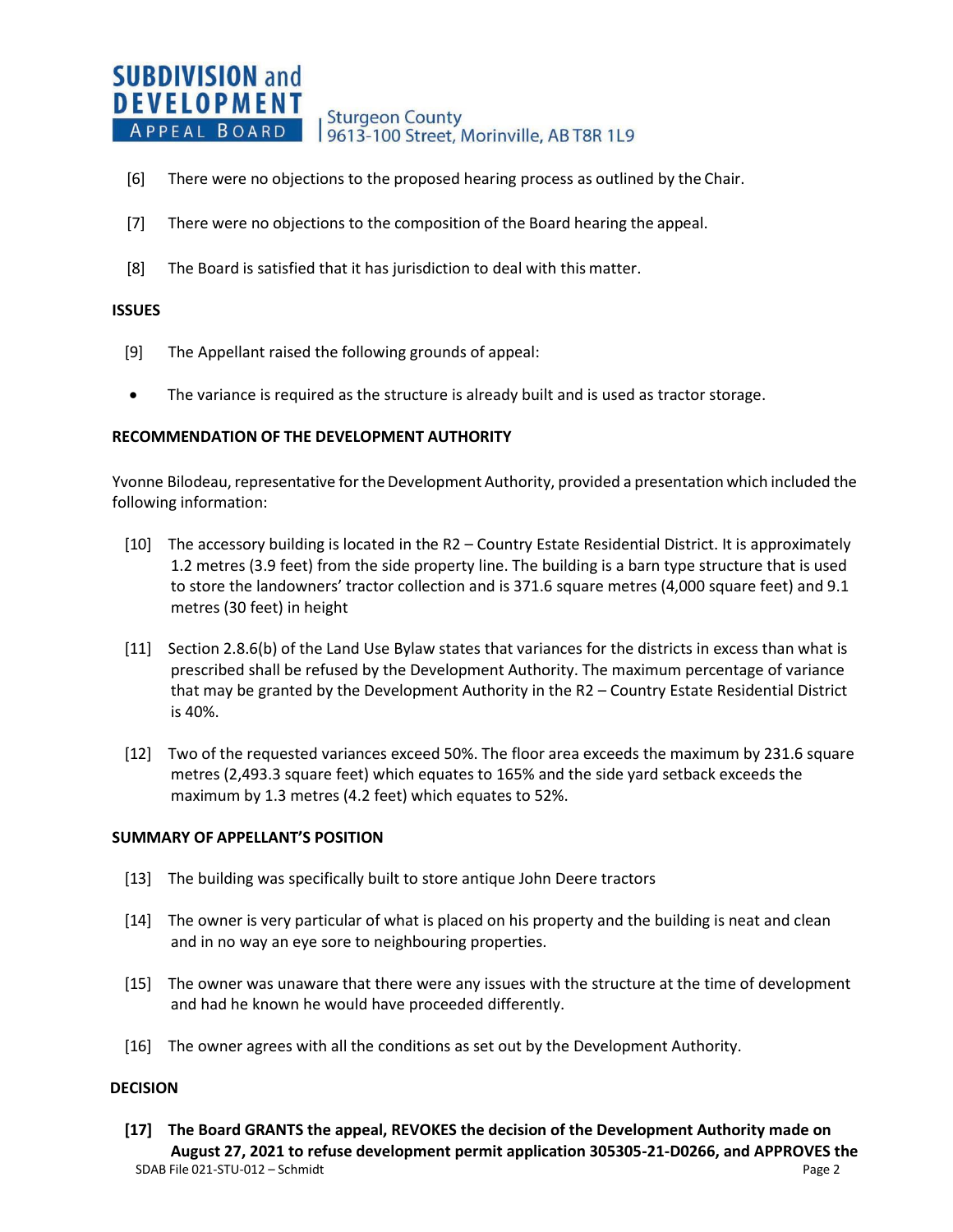#### **SUBDIVISION and DEVELOPMENT Sturgeon County** APPEAL BOARD 9613-100 Street, Morinville, AB T8R 1L9

- [6] There were no objections to the proposed hearing process as outlined by the Chair.
- [7] There were no objections to the composition of the Board hearing the appeal.
- [8] The Board is satisfied that it has jurisdiction to deal with this matter.

### **ISSUES**

- [9] The Appellant raised the following grounds of appeal:
- The variance is required as the structure is already built and is used as tractor storage.

### **RECOMMENDATION OF THE DEVELOPMENT AUTHORITY**

Yvonne Bilodeau, representative for the Development Authority, provided a presentation which included the following information:

- [10] The accessory building is located in the R2 Country Estate Residential District. It is approximately 1.2 metres (3.9 feet) from the side property line. The building is a barn type structure that is used to store the landowners' tractor collection and is 371.6 square metres (4,000 square feet) and 9.1 metres (30 feet) in height
- [11] Section 2.8.6(b) of the Land Use Bylaw states that variances for the districts in excess than what is prescribed shall be refused by the Development Authority. The maximum percentage of variance that may be granted by the Development Authority in the R2 – Country Estate Residential District is 40%.
- [12] Two of the requested variances exceed 50%. The floor area exceeds the maximum by 231.6 square metres (2,493.3 square feet) which equates to 165% and the side yard setback exceeds the maximum by 1.3 metres (4.2 feet) which equates to 52%.

#### **SUMMARY OF APPELLANT'S POSITION**

- [13] The building was specifically built to store antique John Deere tractors
- [14] The owner is very particular of what is placed on his property and the building is neat and clean and in no way an eye sore to neighbouring properties.
- [15] The owner was unaware that there were any issues with the structure at the time of development and had he known he would have proceeded differently.
- [16] The owner agrees with all the conditions as set out by the Development Authority.

#### **DECISION**

SDAB File 021-STU-012 – Schmidt Page 2 **[17] The Board GRANTS the appeal, REVOKES the decision of the Development Authority made on August 27, 2021 to refuse development permit application 305305-21-D0266, and APPROVES the**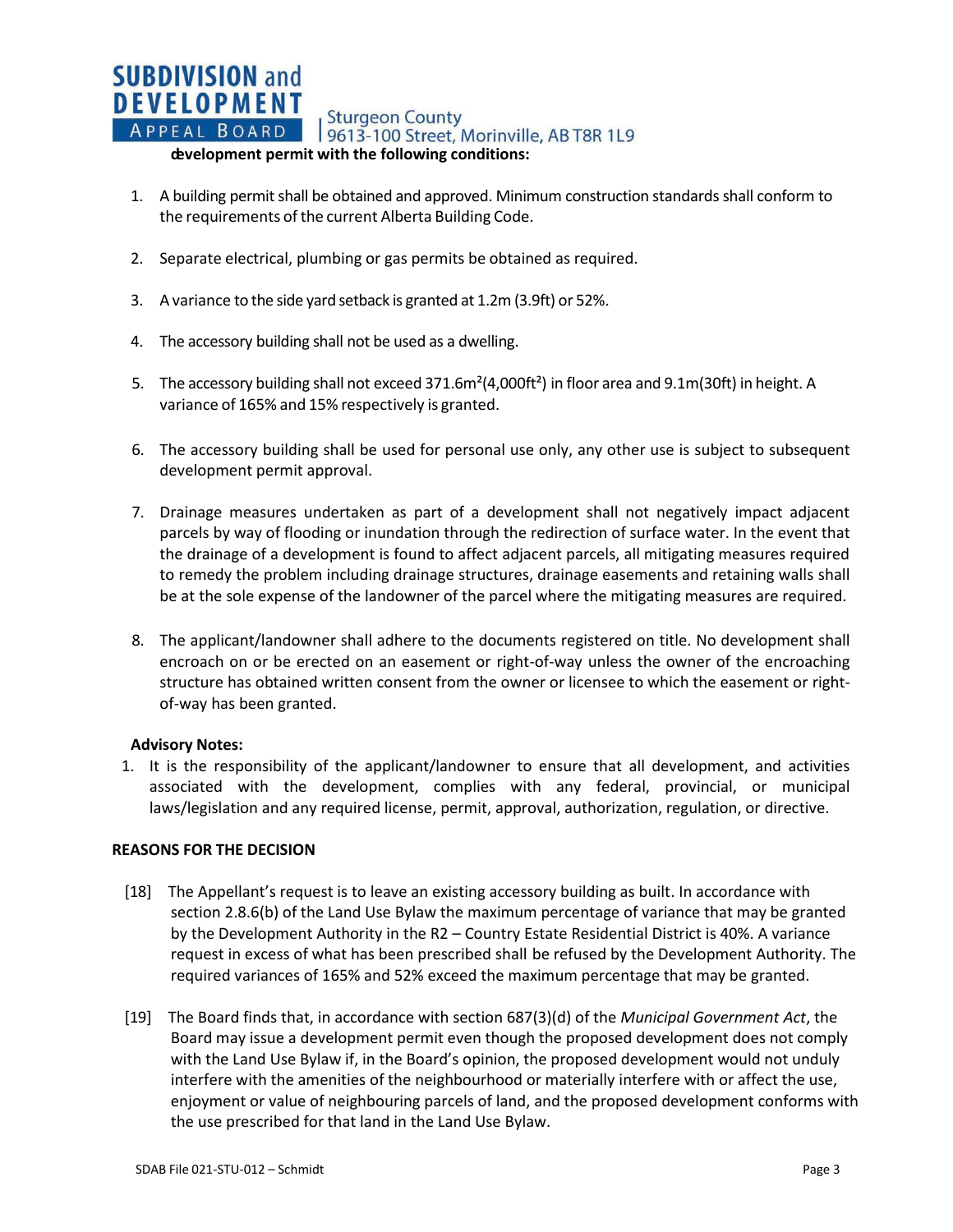## **SUBDIVISION and DEVELOPMENT** APPEAL BOARD | Sturgeon County<br>APPEAL BOARD | 9613-100 Street, Morinville, AB T8R 1L9 **development permit with the following conditions:**

- 1. A building permit shall be obtained and approved. Minimum construction standards shall conform to the requirements of the current Alberta Building Code.
- 2. Separate electrical, plumbing or gas permits be obtained as required.
- 3. A variance to the side yard setback is granted at 1.2m (3.9ft) or 52%.
- 4. The accessory building shall not be used as a dwelling.
- 5. The accessory building shall not exceed 371.6m<sup>2</sup>(4,000ft<sup>2</sup>) in floor area and 9.1m(30ft) in height. A variance of 165% and 15% respectively is granted.
- 6. The accessory building shall be used for personal use only, any other use is subject to subsequent development permit approval.
- 7. Drainage measures undertaken as part of a development shall not negatively impact adjacent parcels by way of flooding or inundation through the redirection of surface water. In the event that the drainage of a development is found to affect adjacent parcels, all mitigating measures required to remedy the problem including drainage structures, drainage easements and retaining walls shall be at the sole expense of the landowner of the parcel where the mitigating measures are required.
- 8. The applicant/landowner shall adhere to the documents registered on title. No development shall encroach on or be erected on an easement or right-of-way unless the owner of the encroaching structure has obtained written consent from the owner or licensee to which the easement or rightof-way has been granted.

## **Advisory Notes:**

1. It is the responsibility of the applicant/landowner to ensure that all development, and activities associated with the development, complies with any federal, provincial, or municipal laws/legislation and any required license, permit, approval, authorization, regulation, or directive.

## **REASONS FOR THE DECISION**

- [18] The Appellant's request is to leave an existing accessory building as built. In accordance with section 2.8.6(b) of the Land Use Bylaw the maximum percentage of variance that may be granted by the Development Authority in the R2 – Country Estate Residential District is 40%. A variance request in excess of what has been prescribed shall be refused by the Development Authority. The required variances of 165% and 52% exceed the maximum percentage that may be granted.
- [19] The Board finds that, in accordance with section 687(3)(d) of the *Municipal Government Act*, the Board may issue a development permit even though the proposed development does not comply with the Land Use Bylaw if, in the Board's opinion, the proposed development would not unduly interfere with the amenities of the neighbourhood or materially interfere with or affect the use, enjoyment or value of neighbouring parcels of land, and the proposed development conforms with the use prescribed for that land in the Land Use Bylaw.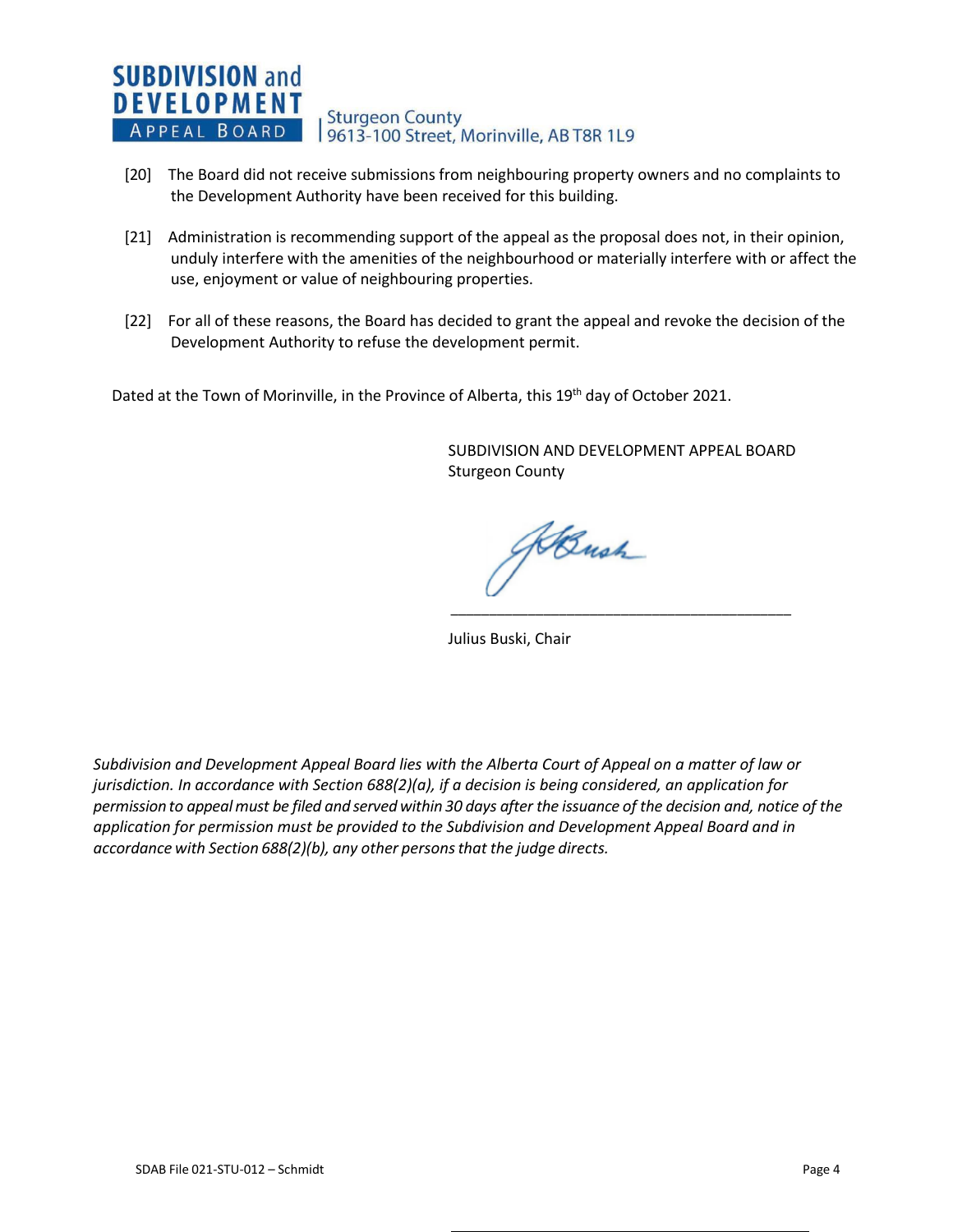#### **SUBDIVISION and DEVELOPMENT Sturgeon County** APPEAL BOARD 9613-100 Street, Morinville, AB T8R 1L9

- [20] The Board did not receive submissions from neighbouring property owners and no complaints to the Development Authority have been received for this building.
- [21] Administration is recommending support of the appeal as the proposal does not, in their opinion, unduly interfere with the amenities of the neighbourhood or materially interfere with or affect the use, enjoyment or value of neighbouring properties.
- [22] For all of these reasons, the Board has decided to grant the appeal and revoke the decision of the Development Authority to refuse the development permit.

Dated at the Town of Morinville, in the Province of Alberta, this 19<sup>th</sup> day of October 2021.

SUBDIVISION AND DEVELOPMENT APPEAL BOARD Sturgeon County

\_\_\_\_\_\_\_\_\_\_\_\_\_\_\_\_\_\_\_\_\_\_\_\_\_\_\_\_\_\_\_\_\_\_\_\_\_\_\_\_\_\_\_\_

Bush

Julius Buski, Chair

*Subdivision and Development Appeal Board lies with the Alberta Court of Appeal on a matter of law or jurisdiction. In accordance with Section 688(2)(a), if a decision is being considered, an application for* permission to appeal must be filed and served within 30 days after the issuance of the decision and, notice of the *application for permission must be provided to the Subdivision and Development Appeal Board and in accordance with Section 688(2)(b), any other personsthat the judge directs.*